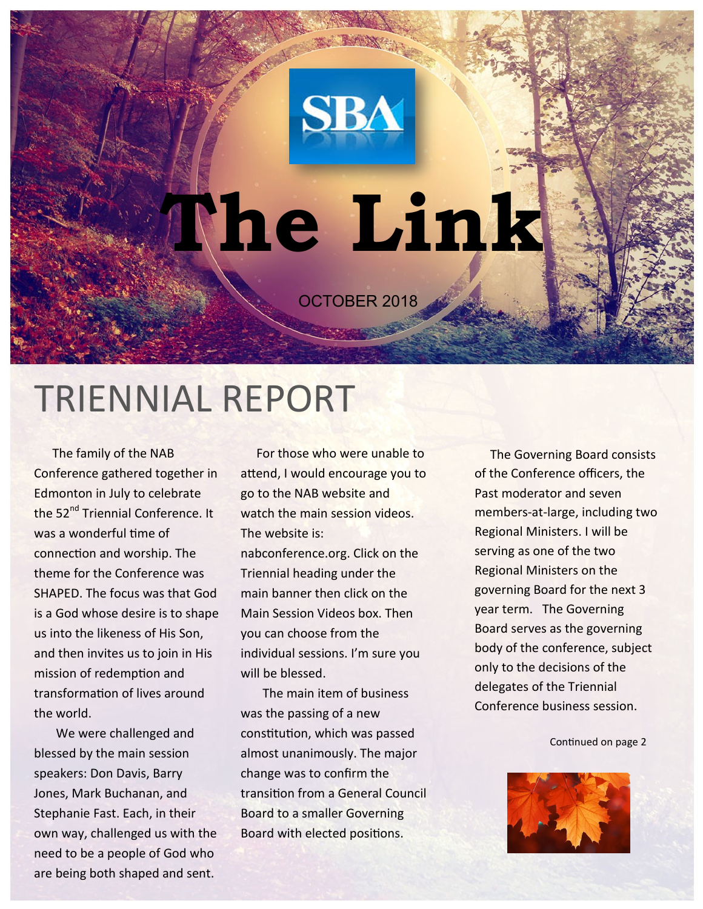# **The Link**

OCTOBER 2018

## TRIENNIAL REPORT

 The family of the NAB Conference gathered together in Edmonton in July to celebrate the 52<sup>nd</sup> Triennial Conference. It was a wonderful time of connection and worship. The theme for the Conference was SHAPED. The focus was that God is a God whose desire is to shape us into the likeness of His Son, and then invites us to join in His mission of redemption and transformation of lives around the world.

 We were challenged and blessed by the main session speakers: Don Davis, Barry Jones, Mark Buchanan, and Stephanie Fast. Each, in their own way, challenged us with the need to be a people of God who are being both shaped and sent.

 For those who were unable to attend, I would encourage you to go to the NAB website and watch the main session videos. The website is: nabconference.org. Click on the Triennial heading under the main banner then click on the Main Session Videos box. Then you can choose from the individual sessions. I'm sure you will be blessed.

 The main item of business was the passing of a new constitution, which was passed almost unanimously. The major change was to confirm the transition from a General Council Board to a smaller Governing Board with elected positions.

 The Governing Board consists of the Conference officers, the Past moderator and seven members-at-large, including two Regional Ministers. I will be serving as one of the two Regional Ministers on the governing Board for the next 3 year term. The Governing Board serves as the governing body of the conference, subject only to the decisions of the delegates of the Triennial Conference business session.

Continued on page 2